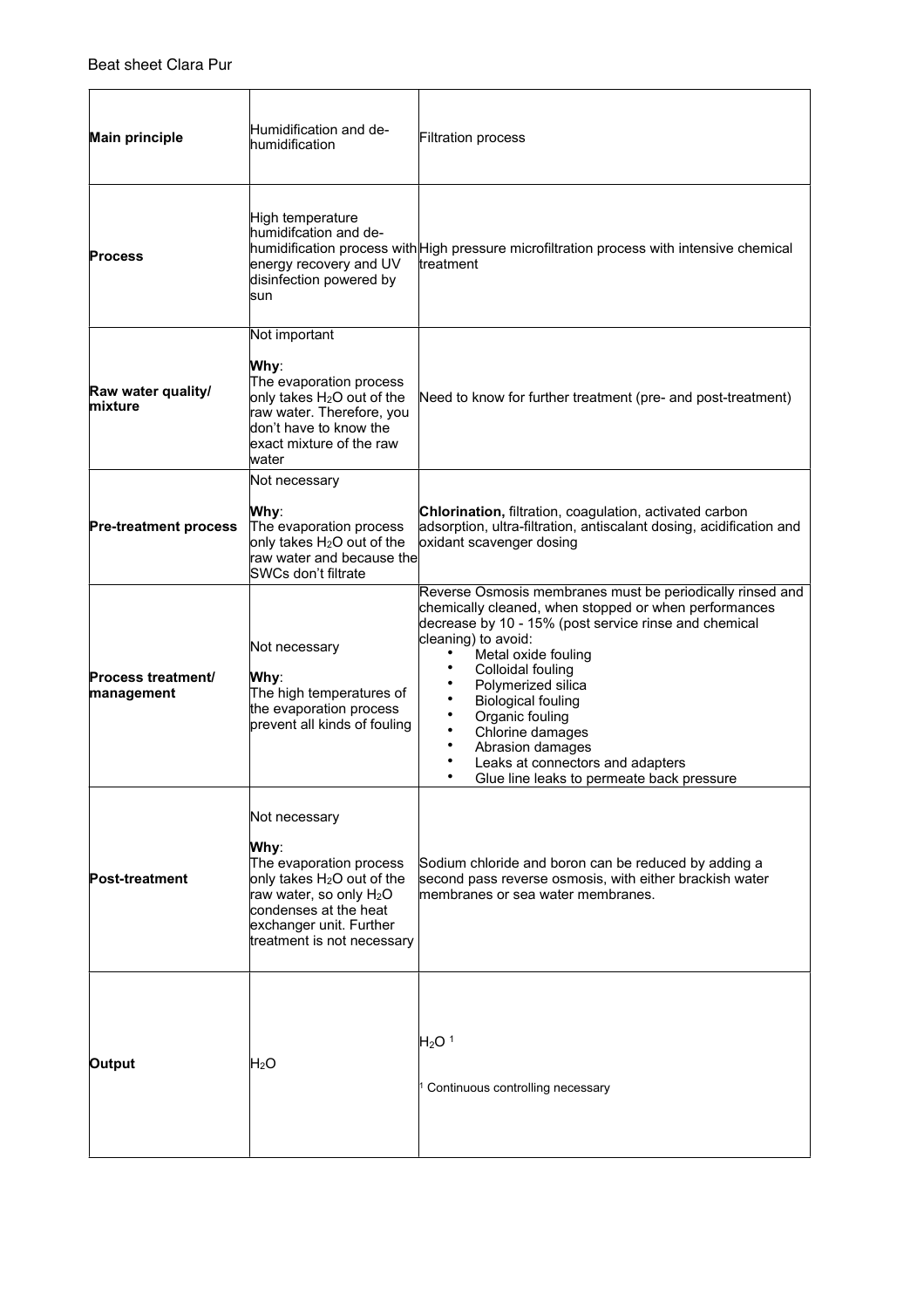| <b>Main principle</b>                   | Humidification and de-<br>humidification                                                                                                                                                                            | <b>Filtration process</b>                                                                                                                                                                                                                                                                                                                                                                                                                                       |
|-----------------------------------------|---------------------------------------------------------------------------------------------------------------------------------------------------------------------------------------------------------------------|-----------------------------------------------------------------------------------------------------------------------------------------------------------------------------------------------------------------------------------------------------------------------------------------------------------------------------------------------------------------------------------------------------------------------------------------------------------------|
| <b>Process</b>                          | High temperature<br>humidifcation and de-<br>energy recovery and UV<br>disinfection powered by<br>sun                                                                                                               | humidification process with High pressure microfiltration process with intensive chemical<br>ltreatment                                                                                                                                                                                                                                                                                                                                                         |
| Raw water quality/<br>lmixture          | Not important<br>Why:<br>The evaporation process<br>only takes H <sub>2</sub> O out of the<br>raw water. Therefore, you<br>don't have to know the<br>lexact mixture of the raw<br>lwater                            | Need to know for further treatment (pre- and post-treatment)                                                                                                                                                                                                                                                                                                                                                                                                    |
| <b>Pre-treatment process</b>            | Not necessary<br>Why:<br>The evaporation process<br>only takes H <sub>2</sub> O out of the<br>raw water and because the<br>SWCs don't filtrate                                                                      | Chlorination, filtration, coagulation, activated carbon<br>adsorption, ultra-filtration, antiscalant dosing, acidification and<br>oxidant scavenger dosing                                                                                                                                                                                                                                                                                                      |
| <b>Process treatment/</b><br>management | Not necessary<br>Why:<br>The high temperatures of<br>the evaporation process<br>prevent all kinds of fouling                                                                                                        | Reverse Osmosis membranes must be periodically rinsed and<br>chemically cleaned, when stopped or when performances<br>decrease by 10 - 15% (post service rinse and chemical<br>cleaning) to avoid:<br>Metal oxide fouling<br>Colloidal fouling<br>Polymerized silica<br><b>Biological fouling</b><br>Organic fouling<br>Chlorine damages<br>Abrasion damages<br>٠<br>Leaks at connectors and adapters<br>$\bullet$<br>Glue line leaks to permeate back pressure |
| <b>Post-treatment</b>                   | Not necessary<br>Why:<br>The evaporation process<br>only takes H <sub>2</sub> O out of the<br>raw water, so only H <sub>2</sub> O<br>condenses at the heat<br>exchanger unit. Further<br>treatment is not necessary | Sodium chloride and boron can be reduced by adding a<br>second pass reverse osmosis, with either brackish water<br>membranes or sea water membranes.                                                                                                                                                                                                                                                                                                            |
| Output                                  | $H_2O$                                                                                                                                                                                                              | H <sub>2</sub> O <sup>1</sup><br>Continuous controlling necessary                                                                                                                                                                                                                                                                                                                                                                                               |